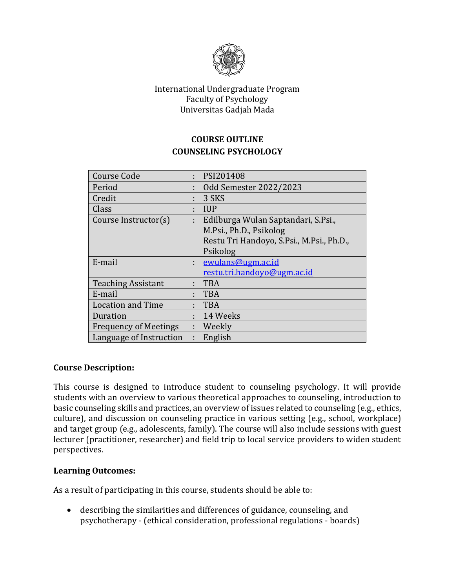

#### International Undergraduate Program Faculty of Psychology Universitas Gadjah Mada

## **COURSE OUTLINE COUNSELING PSYCHOLOGY**

| ÷ | PSI201408                                 |  |
|---|-------------------------------------------|--|
| ÷ | <b>Odd Semester 2022/2023</b>             |  |
| ÷ | 3 SKS                                     |  |
| ÷ | <b>IUP</b>                                |  |
| ÷ | Edilburga Wulan Saptandari, S.Psi.,       |  |
|   | M.Psi., Ph.D., Psikolog                   |  |
|   | Restu Tri Handoyo, S.Psi., M.Psi., Ph.D., |  |
|   | Psikolog                                  |  |
|   | ewulans@ugm.ac.id                         |  |
|   | restu.tri.handoyo@ugm.ac.id               |  |
|   | <b>TBA</b>                                |  |
|   | <b>TBA</b>                                |  |
| ÷ | <b>TBA</b>                                |  |
| ÷ | 14 Weeks                                  |  |
| ÷ | Weekly                                    |  |
|   | English                                   |  |
|   |                                           |  |

#### **Course Description:**

This course is designed to introduce student to counseling psychology. It will provide students with an overview to various theoretical approaches to counseling, introduction to basic counseling skills and practices, an overview of issues related to counseling (e.g., ethics, culture), and discussion on counseling practice in various setting (e.g., school, workplace) and target group (e.g., adolescents, family). The course will also include sessions with guest lecturer (practitioner, researcher) and field trip to local service providers to widen student perspectives.

#### **Learning Outcomes:**

As a result of participating in this course, students should be able to:

• describing the similarities and differences of guidance, counseling, and psychotherapy - (ethical consideration, professional regulations - boards)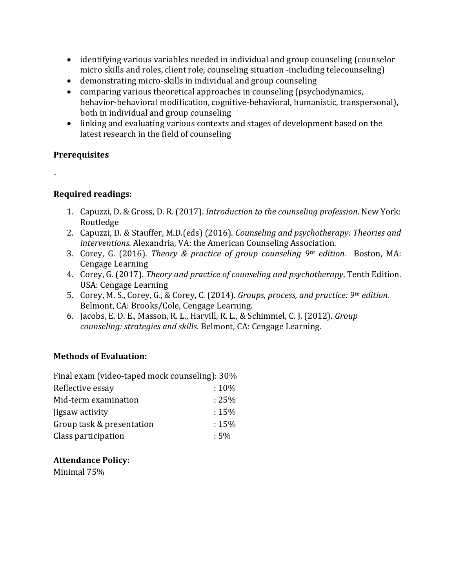- identifying various variables needed in individual and group counseling (counselor micro skills and roles, client role, counseling situation -including telecounseling)
- demonstrating micro-skills in individual and group counseling
- comparing various theoretical approaches in counseling (psychodynamics, behavior-behavioral modification, cognitive-behavioral, humanistic, transpersonal), both in individual and group counseling
- linking and evaluating various contexts and stages of development based on the latest research in the field of counseling

## **Prerequisites**

-

# **Required readings:**

- 1. Capuzzi, D. & Gross, D. R. (2017). *Introduction to the counseling profession*. New York: Routledge
- 2. Capuzzi, D. & Stauffer, M.D.(eds) (2016). *Counseling and psychotherapy: Theories and interventions*. Alexandria, VA: the American Counseling Association.
- 3. Corey, G. (2016). *Theory & practice of group counseling 9th edition.* Boston, MA: Cengage Learning
- 4. Corey, G. (2017). *Theory and practice of counseling and psychotherapy*, Tenth Edition. USA: Cengage Learning
- 5. Corey, M. S., Corey, G., & Corey, C. (2014). *Groups, process, and practice: 9th edition.*  Belmont, CA: Brooks/Cole, Cengage Learning.
- 6. Jacobs, E. D. E., Masson, R. L., Harvill, R. L., & Schimmel, C. J. (2012). *Group counseling: strategies and skills.* Belmont, CA: Cengage Learning.

## **Methods of Evaluation:**

| Final exam (video-taped mock counseling): 30% |          |
|-----------------------------------------------|----------|
| Reflective essay                              | $:10\%$  |
| Mid-term examination                          | $: 25\%$ |
| ligsaw activity                               | $:15\%$  |
| Group task & presentation                     | $:15\%$  |
| Class participation                           | $:5\%$   |

## **Attendance Policy:**

Minimal 75%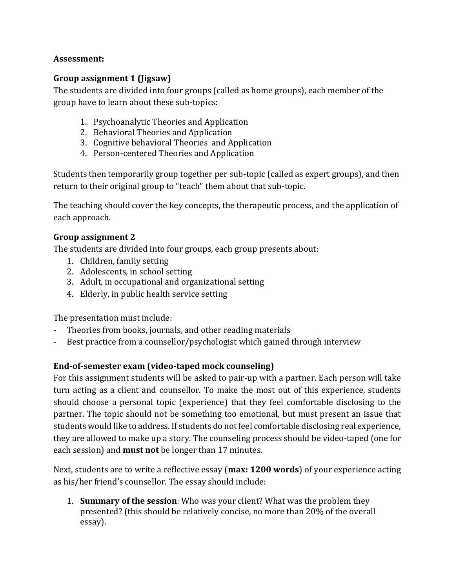## **Assessment:**

## **Group assignment 1 (Jigsaw)**

The students are divided into four groups (called as home groups), each member of the group have to learn about these sub-topics:

- 1. Psychoanalytic Theories and Application
- 2. Behavioral Theories and Application
- 3. Cognitive behavioral Theories and Application
- 4. Person-centered Theories and Application

Students then temporarily group together per sub-topic (called as expert groups), and then return to their original group to "teach" them about that sub-topic.

The teaching should cover the key concepts, the therapeutic process, and the application of each approach.

## **Group assignment 2**

The students are divided into four groups, each group presents about:

- 1. Children, family setting
- 2. Adolescents, in school setting
- 3. Adult, in occupational and organizational setting
- 4. Elderly, in public health service setting

The presentation must include:

- Theories from books, journals, and other reading materials
- Best practice from a counsellor/psychologist which gained through interview

## **End-of-semester exam (video-taped mock counseling)**

For this assignment students will be asked to pair-up with a partner. Each person will take turn acting as a client and counsellor. To make the most out of this experience, students should choose a personal topic (experience) that they feel comfortable disclosing to the partner. The topic should not be something too emotional, but must present an issue that students would like to address. If students do not feel comfortable disclosing real experience, they are allowed to make up a story. The counseling process should be video-taped (one for each session) and **must not** be longer than 17 minutes.

Next, students are to write a reflective essay (**max: 1200 words**) of your experience acting as his/her friend's counsellor. The essay should include:

1. **Summary of the session**: Who was your client? What was the problem they presented? (this should be relatively concise, no more than 20% of the overall essay).